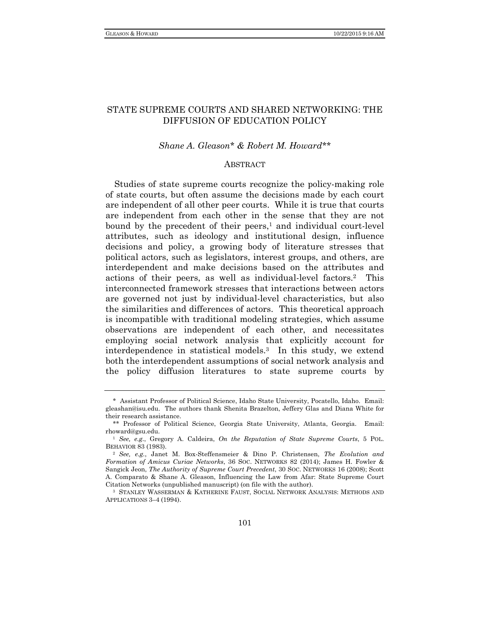# STATE SUPREME COURTS AND SHARED NETWORKING: THE DIFFUSION OF EDUCATION POLICY

## *Shane A. Gleason\* & Robert M. Howard\*\**

#### ABSTRACT

Studies of state supreme courts recognize the policy-making role of state courts, but often assume the decisions made by each court are independent of all other peer courts. While it is true that courts are independent from each other in the sense that they are not bound by the precedent of their peers, $<sup>1</sup>$  and individual court-level</sup> attributes, such as ideology and institutional design, influence decisions and policy, a growing body of literature stresses that political actors, such as legislators, interest groups, and others, are interdependent and make decisions based on the attributes and actions of their peers, as well as individual-level factors.2 This interconnected framework stresses that interactions between actors are governed not just by individual-level characteristics, but also the similarities and differences of actors. This theoretical approach is incompatible with traditional modeling strategies, which assume observations are independent of each other, and necessitates employing social network analysis that explicitly account for interdependence in statistical models.3 In this study, we extend both the interdependent assumptions of social network analysis and the policy diffusion literatures to state supreme courts by

<sup>\*</sup> Assistant Professor of Political Science, Idaho State University, Pocatello, Idaho. Email: gleashan@isu.edu. The authors thank Shenita Brazelton, Jeffery Glas and Diana White for their research assistance.

<sup>\*\*</sup> Professor of Political Science, Georgia State University, Atlanta, Georgia. Email: rhoward@gsu.edu. 1 *See, e.g.*, Gregory A. Caldeira, *On the Reputation of State Supreme Courts*, 5 POL.

BEHAVIOR 83 (1983). 2 *See, e.g.*, Janet M. Box-Steffensmeier & Dino P. Christensen, *The Evolution and* 

*Formation of Amicus Curiae Networks*, 36 SOC. NETWORKS 82 (2014); James H. Fowler & Sangick Jeon, *The Authority of Supreme Court Precedent*, 30 SOC. NETWORKS 16 (2008); Scott A. Comparato & Shane A. Gleason, Influencing the Law from Afar: State Supreme Court Citation Networks (unpublished manuscript) (on file with the author). 3 STANLEY WASSERMAN & KATHERINE FAUST, SOCIAL NETWORK ANALYSIS: METHODS AND

APPLICATIONS 3–4 (1994).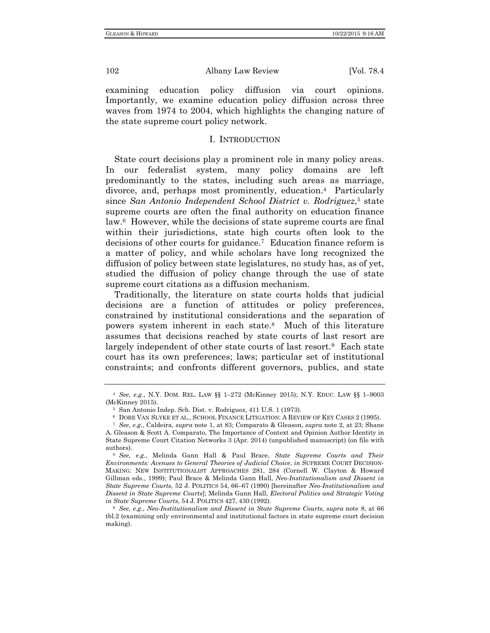examining education policy diffusion via court opinions. Importantly, we examine education policy diffusion across three waves from 1974 to 2004, which highlights the changing nature of the state supreme court policy network.

### I. INTRODUCTION

State court decisions play a prominent role in many policy areas. In our federalist system, many policy domains are left predominantly to the states, including such areas as marriage, divorce, and, perhaps most prominently, education.4 Particularly since *San Antonio Independent School District v. Rodriguez*<sup>5</sup> state supreme courts are often the final authority on education finance law.6 However, while the decisions of state supreme courts are final within their jurisdictions, state high courts often look to the decisions of other courts for guidance.7 Education finance reform is a matter of policy, and while scholars have long recognized the diffusion of policy between state legislatures, no study has, as of yet, studied the diffusion of policy change through the use of state supreme court citations as a diffusion mechanism.

Traditionally, the literature on state courts holds that judicial decisions are a function of attitudes or policy preferences, constrained by institutional considerations and the separation of powers system inherent in each state.8 Much of this literature assumes that decisions reached by state courts of last resort are largely independent of other state courts of last resort.<sup>9</sup> Each state court has its own preferences; laws; particular set of institutional constraints; and confronts different governors, publics, and state

<sup>4</sup> *See, e.g.*, N.Y. DOM. REL. LAW §§ 1–272 (McKinney 2015); N.Y. EDUC. LAW §§ 1–9003 (McKinney 2015).<br>
<sup>5</sup> San Antonio Indep. Sch. Dist. v. Rodriguez, 411 U.S. 1 (1973).<br>
<sup>6</sup> DORE VAN SLYKE ET AL., SCHOOL FINANCE LITIGATION: A REVIEW OF KEY CASES 2 (1995).<br>
<sup>7</sup> *See, e.g.*, Caldeira, *supra* note 1, at 83;

A. Gleason & Scott A. Comparato, The Importance of Context and Opinion Author Identity in State Supreme Court Citation Networks 3 (Apr. 2014) (unpublished manuscript) (on file with authors). 8 *See, e.g.*, Melinda Gann Hall & Paul Brace, *State Supreme Courts and Their* 

*Environments: Avenues to General Theories of Judicial Choice*, *in* SUPREME COURT DECISION-MAKING: NEW INSTITUTIONALIST APPROACHES 281, 284 (Cornell W. Clayton & Howard Gillman eds., 1999); Paul Brace & Melinda Gann Hall, *Neo-Institutionalism and Dissent in State Supreme Courts*, 52 J. POLITICS 54, 66–67 (1990) [hereinafter *Neo-Institutionalism and Dissent in State Supreme Courts*]; Melinda Gann Hall, *Electoral Politics and Strategic Voting in State Supreme Courts*, 54 J. POLITICS 427, <sup>430</sup> (1992). 9 *See, e.g.*, *Neo-Institutionalism and Dissent in State Supreme Courts*, *supra* note 8, at 66

tbl.2 (examining only environmental and institutional factors in state supreme court decision making).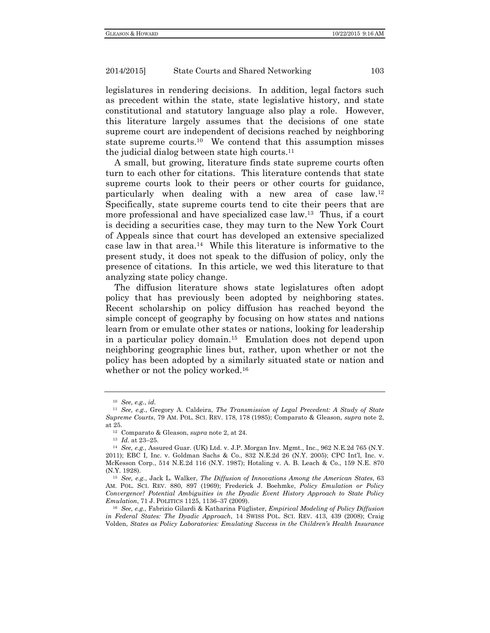legislatures in rendering decisions. In addition, legal factors such as precedent within the state, state legislative history, and state constitutional and statutory language also play a role. However, this literature largely assumes that the decisions of one state supreme court are independent of decisions reached by neighboring state supreme courts.10 We contend that this assumption misses the judicial dialog between state high courts.<sup>11</sup>

A small, but growing, literature finds state supreme courts often turn to each other for citations. This literature contends that state supreme courts look to their peers or other courts for guidance, particularly when dealing with a new area of case law.12 Specifically, state supreme courts tend to cite their peers that are more professional and have specialized case law.13 Thus, if a court is deciding a securities case, they may turn to the New York Court of Appeals since that court has developed an extensive specialized case law in that area.14 While this literature is informative to the present study, it does not speak to the diffusion of policy, only the presence of citations. In this article, we wed this literature to that analyzing state policy change.

The diffusion literature shows state legislatures often adopt policy that has previously been adopted by neighboring states. Recent scholarship on policy diffusion has reached beyond the simple concept of geography by focusing on how states and nations learn from or emulate other states or nations, looking for leadership in a particular policy domain.15 Emulation does not depend upon neighboring geographic lines but, rather, upon whether or not the policy has been adopted by a similarly situated state or nation and whether or not the policy worked.<sup>16</sup>

<sup>10</sup> *See, e.g.*, *id.*

<sup>11</sup> *See, e.g.*, Gregory A. Caldeira, *The Transmission of Legal Precedent: A Study of State Supreme Courts*, 79 AM. POL. SCI. REV. 178, 178 (1985); Comparato & Gleason, *supra* note 2,

at 25. 12 Comparato & Gleason, *supra* note 2, at 24. 13 *Id.* at 23–25. 14 *See, e.g.*, Assured Guar. (UK) Ltd. v. J.P. Morgan Inv. Mgmt., Inc., 962 N.E.2d 765 (N.Y. 2011); EBC I, Inc. v. Goldman Sachs & Co., 832 N.E.2d 26 (N.Y. 2005); CPC Int'l, Inc. v. McKesson Corp., 514 N.E.2d 116 (N.Y. 1987); Hotaling v. A. B. Leach & Co., 159 N.E. 870

<sup>&</sup>lt;sup>15</sup> *See, e.g., Jack L. Walker, The Diffusion of Innovations Among the American States, 63* AM. POL. SCI. REV. 880, 897 (1969); Frederick J. Boehmke, *Policy Emulation or Policy Convergence? Potential Ambiguities in the Dyadic Event History Approach to State Policy Emulation*, 71 J. POLITICS 1125, 1136–37 (2009). 16 *See, e.g.*, Fabrizio Gilardi & Katharina Füglister, *Empirical Modeling of Policy Diffusion* 

*in Federal States: The Dyadic Approach*, 14 SWISS POL. SCI. REV. 413, 439 (2008); Craig Volden, *States as Policy Laboratories: Emulating Success in the Children's Health Insurance*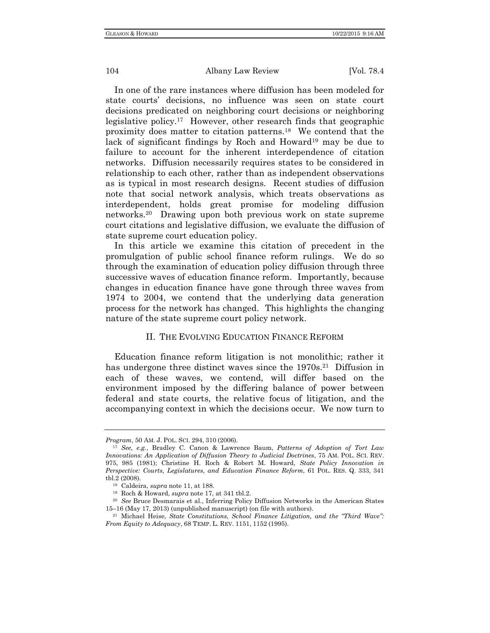In one of the rare instances where diffusion has been modeled for state courts' decisions, no influence was seen on state court decisions predicated on neighboring court decisions or neighboring legislative policy.17 However, other research finds that geographic proximity does matter to citation patterns.18 We contend that the lack of significant findings by Roch and Howard<sup>19</sup> may be due to failure to account for the inherent interdependence of citation networks. Diffusion necessarily requires states to be considered in relationship to each other, rather than as independent observations as is typical in most research designs. Recent studies of diffusion note that social network analysis, which treats observations as interdependent, holds great promise for modeling diffusion networks.20 Drawing upon both previous work on state supreme court citations and legislative diffusion, we evaluate the diffusion of state supreme court education policy.

In this article we examine this citation of precedent in the promulgation of public school finance reform rulings. We do so through the examination of education policy diffusion through three successive waves of education finance reform. Importantly, because changes in education finance have gone through three waves from 1974 to 2004, we contend that the underlying data generation process for the network has changed. This highlights the changing nature of the state supreme court policy network.

## II. THE EVOLVING EDUCATION FINANCE REFORM

Education finance reform litigation is not monolithic; rather it has undergone three distinct waves since the 1970s.<sup>21</sup> Diffusion in each of these waves, we contend, will differ based on the environment imposed by the differing balance of power between federal and state courts, the relative focus of litigation, and the accompanying context in which the decisions occur. We now turn to

*Program*, 50 AM. J. POL. SCI. 294, <sup>310</sup> (2006). 17 *See, e.g.*, Bradley C. Canon & Lawrence Baum, *Patterns of Adoption of Tort Law Innovations: An Application of Diffusion Theory to Judicial Doctrines*, 75 AM. POL. SCI. REV. 975, 985 (1981); Christine H. Roch & Robert M. Howard, *State Policy Innovation in Perspective: Courts, Legislatures, and Education Finance Reform*, 61 POL. RES. Q. 333, 341 tbl.2 (2008). 18 Caldeira, *supra* note 11, at 188. 19 Roch & Howard, *supra* note 17, at 341 tbl.2. 20 *See* Bruce Desmarais et al., Inferring Policy Diffusion Networks in the American States

<sup>15–16 (</sup>May 17, 2013) (unpublished manuscript) (on file with authors). 21 Michael Heise, *State Constitutions, School Finance Litigation, and the "Third Wave":* 

*From Equity to Adequacy*, 68 TEMP. L. REV. 1151, 1152 (1995).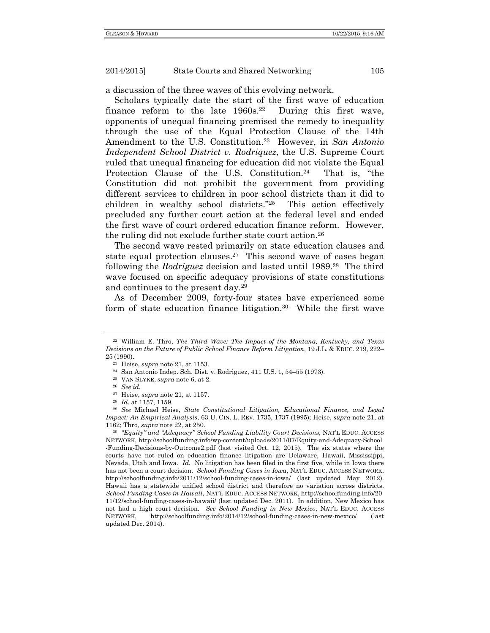a discussion of the three waves of this evolving network.

Scholars typically date the start of the first wave of education finance reform to the late  $1960s<sup>22</sup>$  During this first wave, opponents of unequal financing premised the remedy to inequality through the use of the Equal Protection Clause of the 14th Amendment to the U.S. Constitution.23 However, in *San Antonio Independent School District v. Rodriquez*, the U.S. Supreme Court ruled that unequal financing for education did not violate the Equal Protection Clause of the U.S. Constitution.<sup>24</sup> That is, "the Constitution did not prohibit the government from providing different services to children in poor school districts than it did to children in wealthy school districts."25 This action effectively precluded any further court action at the federal level and ended the first wave of court ordered education finance reform. However, the ruling did not exclude further state court action.26

The second wave rested primarily on state education clauses and state equal protection clauses.<sup>27</sup> This second wave of cases began following the *Rodriguez* decision and lasted until 1989.28 The third wave focused on specific adequacy provisions of state constitutions and continues to the present day.29

As of December 2009, forty-four states have experienced some form of state education finance litigation.30 While the first wave

<sup>22</sup> William E. Thro, *The Third Wave: The Impact of the Montana, Kentucky, and Texas Decisions on the Future of Public School Finance Reform Litigation*, 19 J.L. & EDUC. 219, 222– 25 (1990).

<sup>23</sup> Heise, *supra* note 21, at 1153. 24 San Antonio Indep. Sch. Dist. v. Rodriguez, 411 U.S. 1, 54–55 (1973). 25 VAN SLYKE, *supra* note 6, at 2. 26 *See id.*

<sup>27</sup> Heise, *supra* note 21, at 1157. 28 *Id.* at 1157, 1159. 29 *See* Michael Heise, *State Constitutional Litigation, Educational Finance, and Legal Impact: An Empirical Analysis*, 63 U. CIN. L. REV. 1735, 1737 (1995); Heise, *supra* note 21, at 1162; Thro, *supra* note 22, at 250. 30 *"Equity" and "Adequacy" School Funding Liability Court Decisions*, NAT'L EDUC. ACCESS

NETWORK, http://schoolfunding.info/wp-content/uploads/2011/07/Equity-and-Adequacy-School -Funding-Decisions-by-Outcome2.pdf (last visited Oct. 12, 2015). The six states where the courts have not ruled on education finance litigation are Delaware, Hawaii, Mississippi, Nevada, Utah and Iowa. *Id.* No litigation has been filed in the first five, while in Iowa there has not been a court decision. *School Funding Cases in Iowa*, NAT'L EDUC. ACCESS NETWORK, http://schoolfunding.info/2011/12/school-funding-cases-in-iowa/ (last updated May 2012). Hawaii has a statewide unified school district and therefore no variation across districts. *School Funding Cases in Hawaii*, NAT'L EDUC. ACCESS NETWORK, http://schoolfunding.info/20 11/12/school-funding-cases-in-hawaii/ (last updated Dec. 2011). In addition, New Mexico has not had a high court decision. *See School Funding in New Mexico*, NAT'L EDUC. ACCESS NETWORK, http://schoolfunding.info/2014/12/school-funding-cases-in-new-mexico/ (last updated Dec. 2014).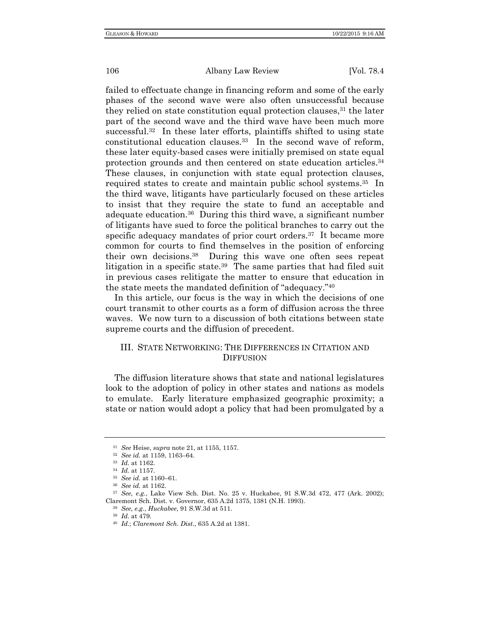failed to effectuate change in financing reform and some of the early phases of the second wave were also often unsuccessful because they relied on state constitution equal protection clauses,<sup>31</sup> the later part of the second wave and the third wave have been much more successful.32 In these later efforts, plaintiffs shifted to using state constitutional education clauses.33 In the second wave of reform, these later equity-based cases were initially premised on state equal protection grounds and then centered on state education articles.34 These clauses, in conjunction with state equal protection clauses, required states to create and maintain public school systems.35 In the third wave, litigants have particularly focused on these articles to insist that they require the state to fund an acceptable and adequate education.36 During this third wave, a significant number of litigants have sued to force the political branches to carry out the specific adequacy mandates of prior court orders.<sup>37</sup> It became more common for courts to find themselves in the position of enforcing their own decisions.38 During this wave one often sees repeat litigation in a specific state.<sup>39</sup> The same parties that had filed suit in previous cases relitigate the matter to ensure that education in the state meets the mandated definition of "adequacy."40

In this article, our focus is the way in which the decisions of one court transmit to other courts as a form of diffusion across the three waves. We now turn to a discussion of both citations between state supreme courts and the diffusion of precedent.

# III. STATE NETWORKING: THE DIFFERENCES IN CITATION AND **DIFFUSION**

The diffusion literature shows that state and national legislatures look to the adoption of policy in other states and nations as models to emulate. Early literature emphasized geographic proximity; a state or nation would adopt a policy that had been promulgated by a

<sup>&</sup>lt;sup>31</sup> See Heise, *supra* note 21, at 1155, 1157.<br>
<sup>32</sup> See id. at 1159, 1163–64.<br>
<sup>33</sup> Id. at 1162.<br>
<sup>34</sup> Id. at 1157.<br>
<sup>35</sup> See id. at 1160–61.<br>
<sup>36</sup> See id. at 1162.<br>
<sup>37</sup> See, e.g., Lake View Sch. Dist. No. 25 v. Huckab Claremont Sch. Dist. v. Governor, 635 A.2d 1375, 1381 (N.H. 1993). 38 *See, e.g.*, *Huckabee*, 91 S.W.3d at 511. 39 *Id.* at 479. 40 *Id.*; *Claremont Sch. Dist.*, 635 A.2d at 1381.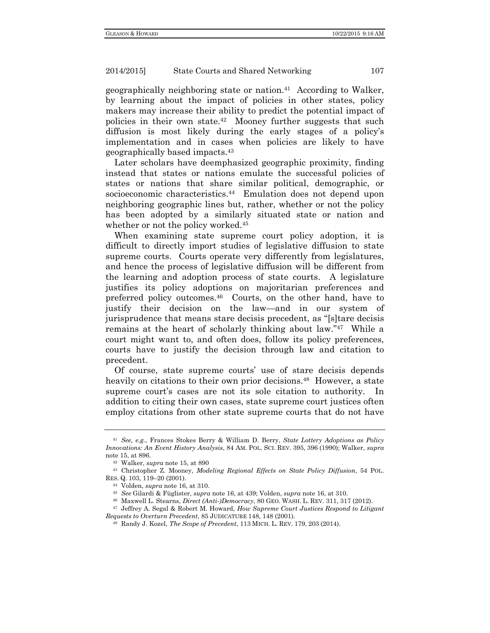geographically neighboring state or nation.41 According to Walker, by learning about the impact of policies in other states, policy makers may increase their ability to predict the potential impact of policies in their own state.42 Mooney further suggests that such diffusion is most likely during the early stages of a policy's implementation and in cases when policies are likely to have geographically based impacts.43

Later scholars have deemphasized geographic proximity, finding instead that states or nations emulate the successful policies of states or nations that share similar political, demographic, or socioeconomic characteristics.<sup>44</sup> Emulation does not depend upon neighboring geographic lines but, rather, whether or not the policy has been adopted by a similarly situated state or nation and whether or not the policy worked.<sup>45</sup>

When examining state supreme court policy adoption, it is difficult to directly import studies of legislative diffusion to state supreme courts. Courts operate very differently from legislatures, and hence the process of legislative diffusion will be different from the learning and adoption process of state courts. A legislature justifies its policy adoptions on majoritarian preferences and preferred policy outcomes.46 Courts, on the other hand, have to justify their decision on the law—and in our system of jurisprudence that means stare decisis precedent, as "[s]tare decisis remains at the heart of scholarly thinking about law."47 While a court might want to, and often does, follow its policy preferences, courts have to justify the decision through law and citation to precedent.

Of course, state supreme courts' use of stare decisis depends heavily on citations to their own prior decisions.<sup>48</sup> However, a state supreme court's cases are not its sole citation to authority. In addition to citing their own cases, state supreme court justices often employ citations from other state supreme courts that do not have

<sup>41</sup> *See, e.g.*, Frances Stokes Berry & William D. Berry, *State Lottery Adoptions as Policy Innovations: An Event History Analysis*, 84 AM. POL. SCI. REV. 395, 396 (1990); Walker, *supra*  note 15, at 896.<br><sup>42</sup> Walker, *supra* note 15, at 890<br><sup>43</sup> Christopher Z. Mooney, *Modeling Regional Effects on State Policy Diffusion*, 54 POL.

RES. Q. 103, 119–20 (2001).<br>
<sup>44</sup> Volden, *supra* note 16, at 310.<br>
<sup>45</sup> See Gilardi & Füglister, *supra* note 16, at 439; Volden, *supra* note 16, at 310.<br>
<sup>45</sup> Maxwell L. Stearns, *Direct (Anti-)Democracy*, 80 GEO. WASH.

*Requests to Overturn Precedent*, 85 JUDICATURE 148, 148 (2001). 48 Randy J. Kozel, *The Scope of Precedent*, 113 MICH. L. REV. 179, <sup>203</sup> (2014).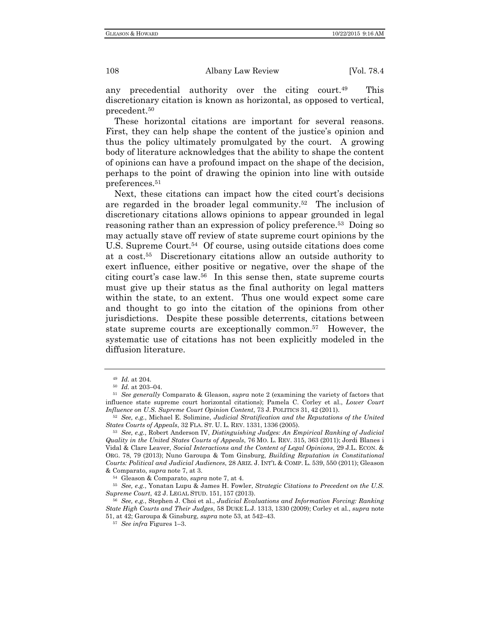any precedential authority over the citing court.49 This discretionary citation is known as horizontal, as opposed to vertical, precedent.50

These horizontal citations are important for several reasons. First, they can help shape the content of the justice's opinion and thus the policy ultimately promulgated by the court. A growing body of literature acknowledges that the ability to shape the content of opinions can have a profound impact on the shape of the decision, perhaps to the point of drawing the opinion into line with outside preferences.51

Next, these citations can impact how the cited court's decisions are regarded in the broader legal community.52 The inclusion of discretionary citations allows opinions to appear grounded in legal reasoning rather than an expression of policy preference.<sup>53</sup> Doing so may actually stave off review of state supreme court opinions by the U.S. Supreme Court.<sup>54</sup> Of course, using outside citations does come at a cost.55 Discretionary citations allow an outside authority to exert influence, either positive or negative, over the shape of the citing court's case law.56 In this sense then, state supreme courts must give up their status as the final authority on legal matters within the state, to an extent. Thus one would expect some care and thought to go into the citation of the opinions from other jurisdictions. Despite these possible deterrents, citations between state supreme courts are exceptionally common.<sup>57</sup> However, the systematic use of citations has not been explicitly modeled in the diffusion literature.

<sup>49</sup> *Id.* at 204. 50 *Id.* at 203–04. 51 *See generally* Comparato & Gleason, *supra* note 2 (examining the variety of factors that influence state supreme court horizontal citations); Pamela C. Corley et al., *Lower Court* 

<sup>&</sup>lt;sup>52</sup> See, e.g., Michael E. Solimine, *Judicial Stratification and the Reputations of the United States Courts of Appeals*, 32 FLA. ST. U. L. REV. 1331, <sup>1336</sup> (2005). 53 *See, e.g.*, Robert Anderson IV, *Distinguishing Judges: An Empirical Ranking of Judicial* 

*Quality in the United States Courts of Appeals*, 76 MO. L. REV. 315, 363 (2011); Jordi Blanes i Vidal & Clare Leaver, *Social Interactions and the Content of Legal Opinions*, 29 J.L. ECON. & ORG. 78, 79 (2013); Nuno Garoupa & Tom Ginsburg, *Building Reputation in Constitutional Courts: Political and Judicial Audiences*, 28 ARIZ. J. INT'L & COMP. L. 539, 550 (2011); Gleason & Comparato, *supra* note 7, at 3. 54 Gleason & Comparato, *supra* note 7, at 4. 55 *See, e.g.*, Yonatan Lupu & James H. Fowler, *Strategic Citations to Precedent on the U.S.* 

*Supreme Court*, 42 J. LEGAL STUD. 151, <sup>157</sup> (2013). 56 *See, e.g.*, Stephen J. Choi et al., *Judicial Evaluations and Information Forcing: Ranking* 

*State High Courts and Their Judges*, 58 DUKE L.J. 1313, 1330 (2009); Corley et al., *supra* note 51, at 42; Garoupa & Ginsburg, *supra* note 53, at 542–43. 57 *See infra* Figures 1–3.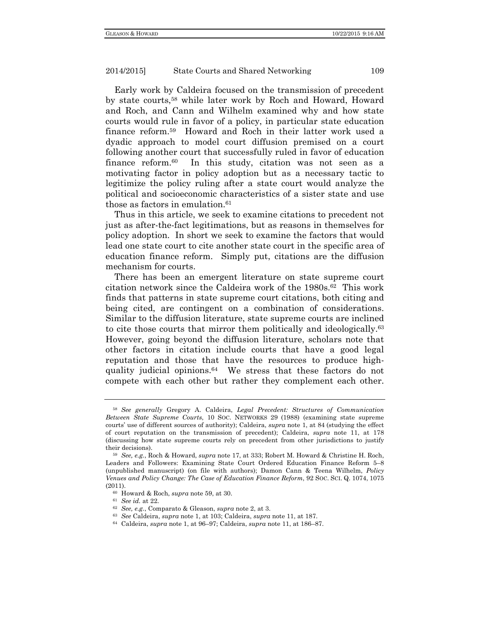Early work by Caldeira focused on the transmission of precedent by state courts,58 while later work by Roch and Howard, Howard and Roch, and Cann and Wilhelm examined why and how state courts would rule in favor of a policy, in particular state education finance reform.59 Howard and Roch in their latter work used a dyadic approach to model court diffusion premised on a court following another court that successfully ruled in favor of education finance reform.<sup>60</sup> In this study, citation was not seen as a motivating factor in policy adoption but as a necessary tactic to legitimize the policy ruling after a state court would analyze the political and socioeconomic characteristics of a sister state and use those as factors in emulation.61

Thus in this article, we seek to examine citations to precedent not just as after-the-fact legitimations, but as reasons in themselves for policy adoption. In short we seek to examine the factors that would lead one state court to cite another state court in the specific area of education finance reform. Simply put, citations are the diffusion mechanism for courts.

There has been an emergent literature on state supreme court citation network since the Caldeira work of the 1980s.62 This work finds that patterns in state supreme court citations, both citing and being cited, are contingent on a combination of considerations. Similar to the diffusion literature, state supreme courts are inclined to cite those courts that mirror them politically and ideologically.63 However, going beyond the diffusion literature, scholars note that other factors in citation include courts that have a good legal reputation and those that have the resources to produce highquality judicial opinions.64 We stress that these factors do not compete with each other but rather they complement each other.

<sup>58</sup> *See generally* Gregory A. Caldeira, *Legal Precedent: Structures of Communication Between State Supreme Courts*, 10 SOC. NETWORKS 29 (1988) (examining state supreme courts' use of different sources of authority); Caldeira, *supra* note 1, at 84 (studying the effect of court reputation on the transmission of precedent); Caldeira, *supra* note 11, at 178 (discussing how state supreme courts rely on precedent from other jurisdictions to justify their decisions). 59 *See, e.g.*, Roch & Howard, *supra* note 17, at 333; Robert M. Howard & Christine H. Roch,

Leaders and Followers: Examining State Court Ordered Education Finance Reform 5–8 (unpublished manuscript) (on file with authors); Damon Cann & Teena Wilhelm, *Policy Venues and Policy Change: The Case of Education Finance Reform*, 92 SOC. SCI. Q. 1074, 1075 (2011).<br>
<sup>60</sup> Howard & Roch, *supra* note 59, at 30.<br>
<sup>61</sup> See id. at 22.<br>
<sup>62</sup> See, e.g., Comparato & Gleason, *supra* note 2, at 3.<br>
<sup>63</sup> See Caldeira, *supra* note 1, at 103; Caldeira, *supra* note 11, at 187.<br>
<sup>64</sup> Ca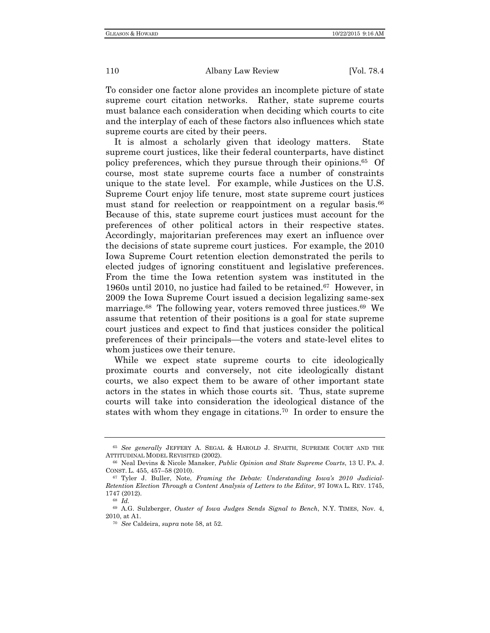To consider one factor alone provides an incomplete picture of state supreme court citation networks. Rather, state supreme courts must balance each consideration when deciding which courts to cite and the interplay of each of these factors also influences which state supreme courts are cited by their peers.

It is almost a scholarly given that ideology matters. State supreme court justices, like their federal counterparts, have distinct policy preferences, which they pursue through their opinions.65 Of course, most state supreme courts face a number of constraints unique to the state level. For example, while Justices on the U.S. Supreme Court enjoy life tenure, most state supreme court justices must stand for reelection or reappointment on a regular basis.<sup>66</sup> Because of this, state supreme court justices must account for the preferences of other political actors in their respective states. Accordingly, majoritarian preferences may exert an influence over the decisions of state supreme court justices. For example, the 2010 Iowa Supreme Court retention election demonstrated the perils to elected judges of ignoring constituent and legislative preferences. From the time the Iowa retention system was instituted in the 1960s until 2010, no justice had failed to be retained.67 However, in 2009 the Iowa Supreme Court issued a decision legalizing same-sex marriage.<sup>68</sup> The following year, voters removed three justices.<sup>69</sup> We assume that retention of their positions is a goal for state supreme court justices and expect to find that justices consider the political preferences of their principals—the voters and state-level elites to whom justices owe their tenure.

While we expect state supreme courts to cite ideologically proximate courts and conversely, not cite ideologically distant courts, we also expect them to be aware of other important state actors in the states in which those courts sit. Thus, state supreme courts will take into consideration the ideological distance of the states with whom they engage in citations.70 In order to ensure the

<sup>65</sup> *See generally* JEFFERY A. SEGAL & HAROLD J. SPAETH, SUPREME COURT AND THE ATTITUDINAL MODEL REVISITED (2002). 66 Neal Devins & Nicole Mansker, *Public Opinion and State Supreme Courts*, 13 U. PA. J.

CONST. L. 455, 457–58 (2010).<br><sup>67</sup> Tyler J. Buller, Note, *Framing the Debate: Understanding Iowa's 2010 Judicial-*

*Retention Election Through a Content Analysis of Letters to the Editor*, 97 IOWA L. REV. 1745, 1747 (2012). 68 *Id.*

<sup>69</sup> A.G. Sulzberger, *Ouster of Iowa Judges Sends Signal to Bench*, N.Y. TIMES, Nov. 4, 2010, at A1.

<sup>70</sup> *See* Caldeira, *supra* note 58, at 52.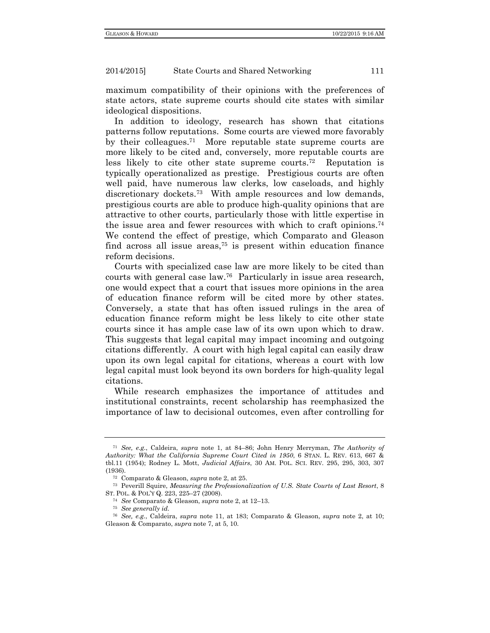maximum compatibility of their opinions with the preferences of state actors, state supreme courts should cite states with similar ideological dispositions.

In addition to ideology, research has shown that citations patterns follow reputations. Some courts are viewed more favorably by their colleagues.71 More reputable state supreme courts are more likely to be cited and, conversely, more reputable courts are less likely to cite other state supreme courts.72 Reputation is typically operationalized as prestige. Prestigious courts are often well paid, have numerous law clerks, low caseloads, and highly discretionary dockets.<sup>73</sup> With ample resources and low demands, prestigious courts are able to produce high-quality opinions that are attractive to other courts, particularly those with little expertise in the issue area and fewer resources with which to craft opinions.74 We contend the effect of prestige, which Comparato and Gleason find across all issue areas,<sup>75</sup> is present within education finance reform decisions.

Courts with specialized case law are more likely to be cited than courts with general case law.76 Particularly in issue area research, one would expect that a court that issues more opinions in the area of education finance reform will be cited more by other states. Conversely, a state that has often issued rulings in the area of education finance reform might be less likely to cite other state courts since it has ample case law of its own upon which to draw. This suggests that legal capital may impact incoming and outgoing citations differently. A court with high legal capital can easily draw upon its own legal capital for citations, whereas a court with low legal capital must look beyond its own borders for high-quality legal citations.

While research emphasizes the importance of attitudes and institutional constraints, recent scholarship has reemphasized the importance of law to decisional outcomes, even after controlling for

<sup>71</sup> *See, e.g.*, Caldeira, *supra* note 1, at 84–86; John Henry Merryman, *The Authority of Authority: What the California Supreme Court Cited in 1950*, 6 STAN. L. REV. 613, 667 & tbl.11 (1954); Rodney L. Mott, *Judicial Affairs*, 30 AM. POL. SCI. REV. 295, 295, 303, 307 (1936). 72 Comparato & Gleason, *supra* note 2, at 25. 73 Peverill Squire, *Measuring the Professionalization of U.S. State Courts of Last Resort*, 8

ST. POL. & POL'Y Q. 223, 225–27 (2008). 74 *See* Comparato & Gleason, *supra* note 2, at 12–13. 75 *See generally id.*

<sup>76</sup> *See, e.g.*, Caldeira, *supra* note 11, at 183; Comparato & Gleason, *supra* note 2, at 10; Gleason & Comparato, *supra* note 7, at 5, 10.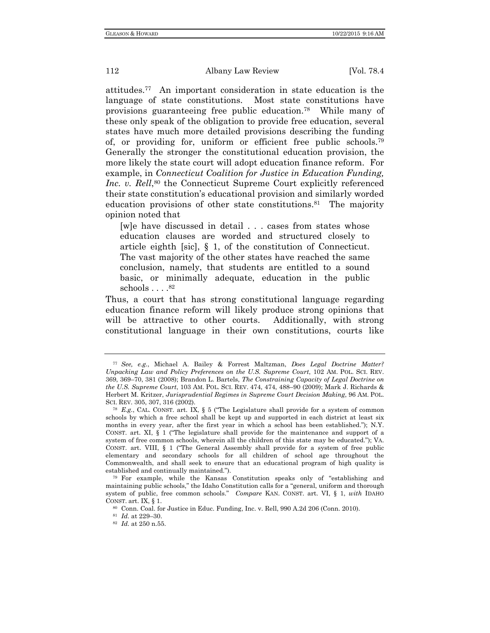attitudes.77 An important consideration in state education is the language of state constitutions. Most state constitutions have provisions guaranteeing free public education.78 While many of these only speak of the obligation to provide free education, several states have much more detailed provisions describing the funding of, or providing for, uniform or efficient free public schools.79 Generally the stronger the constitutional education provision, the more likely the state court will adopt education finance reform. For example, in *Connecticut Coalition for Justice in Education Funding, Inc. v. Rell*,<sup>80</sup> the Connecticut Supreme Court explicitly referenced their state constitution's educational provision and similarly worded education provisions of other state constitutions.<sup>81</sup> The majority opinion noted that

[w]e have discussed in detail . . . cases from states whose education clauses are worded and structured closely to article eighth [sic], § 1, of the constitution of Connecticut. The vast majority of the other states have reached the same conclusion, namely, that students are entitled to a sound basic, or minimally adequate, education in the public schools  $\ldots$ .<sup>82</sup>

Thus, a court that has strong constitutional language regarding education finance reform will likely produce strong opinions that will be attractive to other courts. Additionally, with strong constitutional language in their own constitutions, courts like

<sup>77</sup> *See, e.g.*, Michael A. Bailey & Forrest Maltzman, *Does Legal Doctrine Matter? Unpacking Law and Policy Preferences on the U.S. Supreme Court*, 102 AM. POL. SCI. REV. 369, 369–70, 381 (2008); Brandon L. Bartels, *The Constraining Capacity of Legal Doctrine on the U.S. Supreme Court*, 103 AM. POL. SCI. REV. 474, 474, 488–90 (2009); Mark J. Richards & Herbert M. Kritzer, *Jurisprudential Regimes in Supreme Court Decision Making*, 96 AM. POL.

SCI. REV. 305, 307, 316 (2002). 78 *E.g.*, CAL. CONST. art. IX, § 5 ("The Legislature shall provide for a system of common schools by which a free school shall be kept up and supported in each district at least six months in every year, after the first year in which a school has been established."); N.Y. CONST. art. XI, § 1 ("The legislature shall provide for the maintenance and support of a system of free common schools, wherein all the children of this state may be educated."); VA. CONST. art. VIII, § 1 ("The General Assembly shall provide for a system of free public elementary and secondary schools for all children of school age throughout the Commonwealth, and shall seek to ensure that an educational program of high quality is established and continually maintained."). 79 For example, while the Kansas Constitution speaks only of "establishing and

maintaining public schools," the Idaho Constitution calls for a "general, uniform and thorough system of public, free common schools." *Compare* KAN. CONST. art. VI, § 1, *with* IDAHO

CONST. art. IX, § 1. 80 Conn. Coal. for Justice in Educ. Funding, Inc. v. Rell, 990 A.2d 206 (Conn. 2010). 81 *Id.* at 229–30. 82 *Id.* at 250 n.55.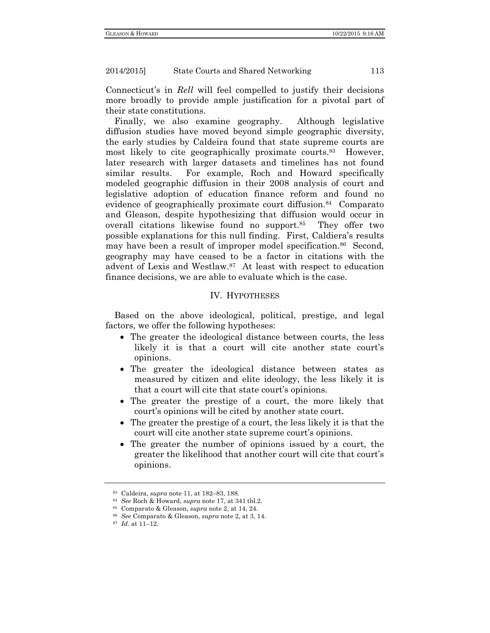Connecticut's in *Rell* will feel compelled to justify their decisions more broadly to provide ample justification for a pivotal part of their state constitutions.

Finally, we also examine geography. Although legislative diffusion studies have moved beyond simple geographic diversity, the early studies by Caldeira found that state supreme courts are most likely to cite geographically proximate courts.<sup>83</sup> However, later research with larger datasets and timelines has not found similar results. For example, Roch and Howard specifically modeled geographic diffusion in their 2008 analysis of court and legislative adoption of education finance reform and found no evidence of geographically proximate court diffusion.84 Comparato and Gleason, despite hypothesizing that diffusion would occur in overall citations likewise found no support.85 They offer two possible explanations for this null finding. First, Caldiera's results may have been a result of improper model specification.<sup>86</sup> Second, geography may have ceased to be a factor in citations with the advent of Lexis and Westlaw.87 At least with respect to education finance decisions, we are able to evaluate which is the case.

# IV. HYPOTHESES

Based on the above ideological, political, prestige, and legal factors, we offer the following hypotheses:

- The greater the ideological distance between courts, the less likely it is that a court will cite another state court's opinions.
- The greater the ideological distance between states as measured by citizen and elite ideology, the less likely it is that a court will cite that state court's opinions.
- The greater the prestige of a court, the more likely that court's opinions will be cited by another state court.
- The greater the prestige of a court, the less likely it is that the court will cite another state supreme court's opinions.
- The greater the number of opinions issued by a court, the greater the likelihood that another court will cite that court's opinions.

<sup>%</sup> Caldeira, *supra* note 11, at 182–83, 188.<br>
\*4 See Roch & Howard, *supra* note 17, at 341 tbl.2.<br>
\*5 Comparato & Gleason, *supra* note 2, at 14, 24.<br>
\*6 See Comparato & Gleason, *supra* note 2, at 3, 14.<br>
\*7 Id. at 11–1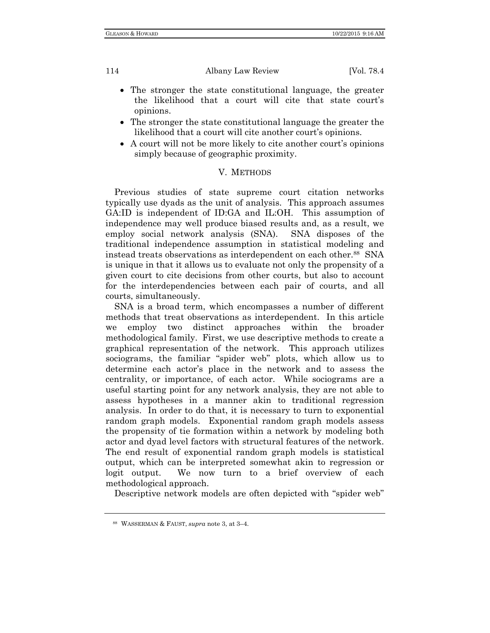- The stronger the state constitutional language, the greater the likelihood that a court will cite that state court's opinions.
- The stronger the state constitutional language the greater the likelihood that a court will cite another court's opinions.
- A court will not be more likely to cite another court's opinions simply because of geographic proximity.

# V. METHODS

Previous studies of state supreme court citation networks typically use dyads as the unit of analysis. This approach assumes GA:ID is independent of ID:GA and IL:OH. This assumption of independence may well produce biased results and, as a result, we employ social network analysis (SNA). SNA disposes of the traditional independence assumption in statistical modeling and instead treats observations as interdependent on each other.88 SNA is unique in that it allows us to evaluate not only the propensity of a given court to cite decisions from other courts, but also to account for the interdependencies between each pair of courts, and all courts, simultaneously.

SNA is a broad term, which encompasses a number of different methods that treat observations as interdependent. In this article we employ two distinct approaches within the broader methodological family. First, we use descriptive methods to create a graphical representation of the network. This approach utilizes sociograms, the familiar "spider web" plots, which allow us to determine each actor's place in the network and to assess the centrality, or importance, of each actor. While sociograms are a useful starting point for any network analysis, they are not able to assess hypotheses in a manner akin to traditional regression analysis. In order to do that, it is necessary to turn to exponential random graph models. Exponential random graph models assess the propensity of tie formation within a network by modeling both actor and dyad level factors with structural features of the network. The end result of exponential random graph models is statistical output, which can be interpreted somewhat akin to regression or logit output. We now turn to a brief overview of each methodological approach.

Descriptive network models are often depicted with "spider web"

<sup>88</sup> WASSERMAN & FAUST, *supra* note 3, at 3–4.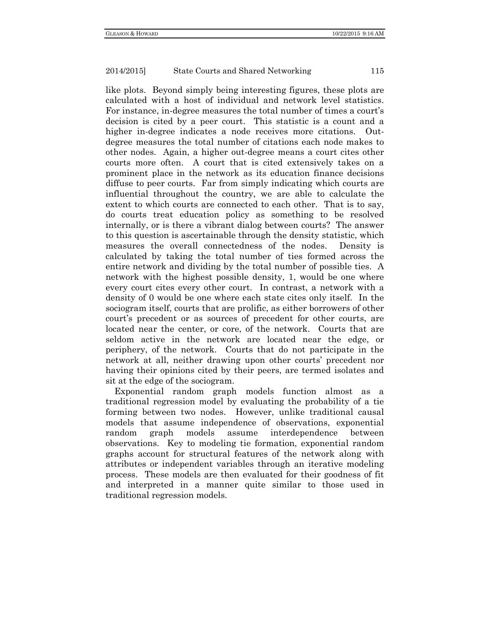like plots. Beyond simply being interesting figures, these plots are calculated with a host of individual and network level statistics. For instance, in-degree measures the total number of times a court's decision is cited by a peer court. This statistic is a count and a higher in-degree indicates a node receives more citations. Outdegree measures the total number of citations each node makes to other nodes. Again, a higher out-degree means a court cites other courts more often. A court that is cited extensively takes on a prominent place in the network as its education finance decisions diffuse to peer courts. Far from simply indicating which courts are influential throughout the country, we are able to calculate the extent to which courts are connected to each other. That is to say, do courts treat education policy as something to be resolved internally, or is there a vibrant dialog between courts? The answer to this question is ascertainable through the density statistic, which measures the overall connectedness of the nodes. Density is calculated by taking the total number of ties formed across the entire network and dividing by the total number of possible ties. A network with the highest possible density, 1, would be one where every court cites every other court. In contrast, a network with a density of 0 would be one where each state cites only itself. In the sociogram itself, courts that are prolific, as either borrowers of other court's precedent or as sources of precedent for other courts, are located near the center, or core, of the network. Courts that are seldom active in the network are located near the edge, or periphery, of the network. Courts that do not participate in the network at all, neither drawing upon other courts' precedent nor having their opinions cited by their peers, are termed isolates and sit at the edge of the sociogram.

Exponential random graph models function almost as a traditional regression model by evaluating the probability of a tie forming between two nodes. However, unlike traditional causal models that assume independence of observations, exponential random graph models assume interdependence between observations. Key to modeling tie formation, exponential random graphs account for structural features of the network along with attributes or independent variables through an iterative modeling process. These models are then evaluated for their goodness of fit and interpreted in a manner quite similar to those used in traditional regression models.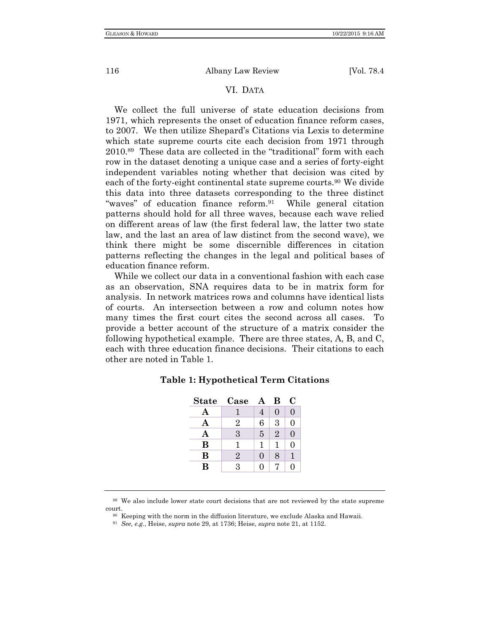## VI. DATA

We collect the full universe of state education decisions from 1971, which represents the onset of education finance reform cases, to 2007. We then utilize Shepard's Citations via Lexis to determine which state supreme courts cite each decision from 1971 through 2010.89 These data are collected in the "traditional" form with each row in the dataset denoting a unique case and a series of forty-eight independent variables noting whether that decision was cited by each of the forty-eight continental state supreme courts.<sup>90</sup> We divide this data into three datasets corresponding to the three distinct "waves" of education finance reform.91 While general citation patterns should hold for all three waves, because each wave relied on different areas of law (the first federal law, the latter two state law, and the last an area of law distinct from the second wave), we think there might be some discernible differences in citation patterns reflecting the changes in the legal and political bases of education finance reform.

While we collect our data in a conventional fashion with each case as an observation, SNA requires data to be in matrix form for analysis. In network matrices rows and columns have identical lists of courts. An intersection between a row and column notes how many times the first court cites the second across all cases. To provide a better account of the structure of a matrix consider the following hypothetical example. There are three states, A, B, and C, each with three education finance decisions. Their citations to each other are noted in Table 1.

| <b>State</b> | Case           | A | В              | C        |
|--------------|----------------|---|----------------|----------|
| А            |                | 4 | 0              | 0        |
| Α            | 2              | 6 | 3              | $\Omega$ |
| Α            | 3              | 5 | $\overline{2}$ | 0        |
| B            | 1              | 1 | 1              | 0        |
| В            | $\overline{2}$ | 0 | 8              |          |
| В            | 3              | 0 |                | ∩        |

#### **Table 1: Hypothetical Term Citations**

<sup>89</sup> We also include lower state court decisions that are not reviewed by the state supreme

court. 90 Keeping with the norm in the diffusion literature, we exclude Alaska and Hawaii. 91 *See, e.g.*, Heise, *supra* note 29, at 1736; Heise, *supra* note 21, at 1152.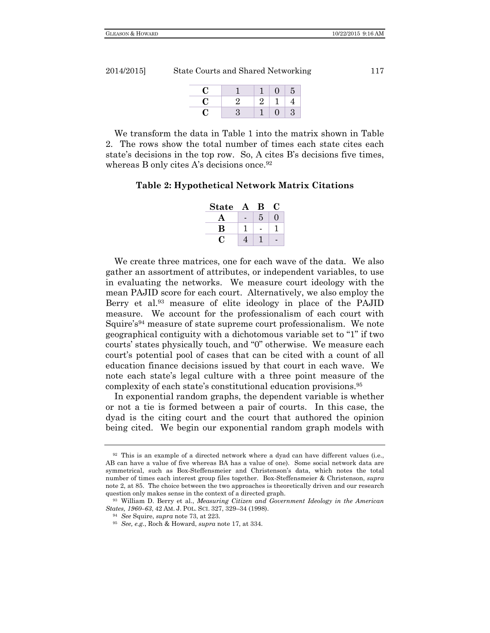| 2014/2015] | State Courts and Shared Networking | 117 |
|------------|------------------------------------|-----|
|------------|------------------------------------|-----|

| U  |              |   | Э |
|----|--------------|---|---|
| ι. | ۰,<br>$\sim$ | 2 |   |
| U  | Н            |   | 3 |

We transform the data in Table 1 into the matrix shown in Table 2. The rows show the total number of times each state cites each state's decisions in the top row. So, A cites B's decisions five times, whereas B only cites A's decisions once.<sup>92</sup>

### **Table 2: Hypothetical Network Matrix Citations**

| <b>State</b> | Q. |  |
|--------------|----|--|
|              | 5  |  |
| B            |    |  |
|              |    |  |

We create three matrices, one for each wave of the data. We also gather an assortment of attributes, or independent variables, to use in evaluating the networks. We measure court ideology with the mean PAJID score for each court. Alternatively, we also employ the Berry et al.<sup>93</sup> measure of elite ideology in place of the PAJID measure. We account for the professionalism of each court with Squire's<sup>94</sup> measure of state supreme court professionalism. We note geographical contiguity with a dichotomous variable set to "1" if two courts' states physically touch, and "0" otherwise. We measure each court's potential pool of cases that can be cited with a count of all education finance decisions issued by that court in each wave. We note each state's legal culture with a three point measure of the complexity of each state's constitutional education provisions.95

In exponential random graphs, the dependent variable is whether or not a tie is formed between a pair of courts. In this case, the dyad is the citing court and the court that authored the opinion being cited. We begin our exponential random graph models with

<sup>92</sup> This is an example of a directed network where a dyad can have different values (i.e., AB can have a value of five whereas BA has a value of one). Some social network data are symmetrical, such as Box-Steffensmeier and Christenson's data, which notes the total number of times each interest group files together. Box-Steffensmeier & Christenson, *supra*  note 2, at 85. The choice between the two approaches is theoretically driven and our research question only makes sense in the context of a directed graph. 93 William D. Berry et al., *Measuring Citizen and Government Ideology in the American* 

*States, 1960–63*, <sup>42</sup> AM. J. POL. SCI. 327, 329–34 (1998). 94 *See* Squire, *supra* note 73, at 223. 95 *See, e.g.*, Roch & Howard, *supra* note 17, at 334.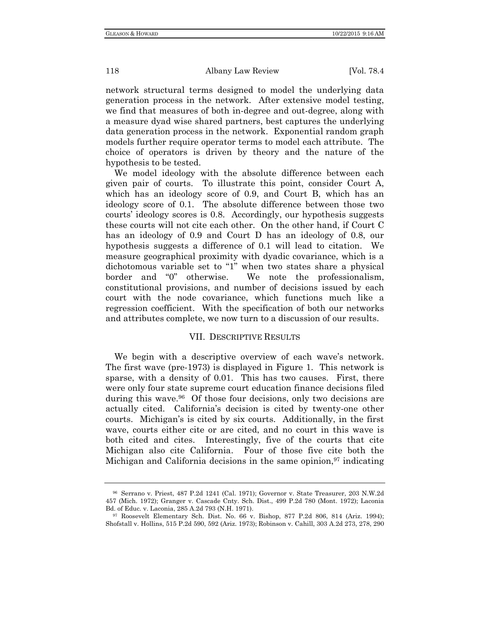network structural terms designed to model the underlying data generation process in the network. After extensive model testing, we find that measures of both in-degree and out-degree, along with a measure dyad wise shared partners, best captures the underlying data generation process in the network. Exponential random graph models further require operator terms to model each attribute. The choice of operators is driven by theory and the nature of the hypothesis to be tested.

We model ideology with the absolute difference between each given pair of courts. To illustrate this point, consider Court A, which has an ideology score of 0.9, and Court B, which has an ideology score of 0.1. The absolute difference between those two courts' ideology scores is 0.8. Accordingly, our hypothesis suggests these courts will not cite each other. On the other hand, if Court C has an ideology of 0.9 and Court D has an ideology of 0.8, our hypothesis suggests a difference of 0.1 will lead to citation. We measure geographical proximity with dyadic covariance, which is a dichotomous variable set to "1" when two states share a physical border and "0" otherwise. We note the professionalism, constitutional provisions, and number of decisions issued by each court with the node covariance, which functions much like a regression coefficient. With the specification of both our networks and attributes complete, we now turn to a discussion of our results.

#### VII. DESCRIPTIVE RESULTS

We begin with a descriptive overview of each wave's network. The first wave (pre-1973) is displayed in Figure 1. This network is sparse, with a density of 0.01. This has two causes. First, there were only four state supreme court education finance decisions filed during this wave.96 Of those four decisions, only two decisions are actually cited. California's decision is cited by twenty-one other courts. Michigan's is cited by six courts. Additionally, in the first wave, courts either cite or are cited, and no court in this wave is both cited and cites. Interestingly, five of the courts that cite Michigan also cite California. Four of those five cite both the Michigan and California decisions in the same opinion, $97$  indicating

<sup>96</sup> Serrano v. Priest, 487 P.2d 1241 (Cal. 1971); Governor v. State Treasurer, 203 N.W.2d 457 (Mich. 1972); Granger v. Cascade Cnty. Sch. Dist., 499 P.2d 780 (Mont. 1972); Laconia Bd. of Educ. v. Laconia, 285 A.2d 793 (N.H. 1971). 97 Roosevelt Elementary Sch. Dist. No. 66 v. Bishop, 877 P.2d 806, 814 (Ariz. 1994);

Shofstall v. Hollins, 515 P.2d 590, 592 (Ariz. 1973); Robinson v. Cahill, 303 A.2d 273, 278, 290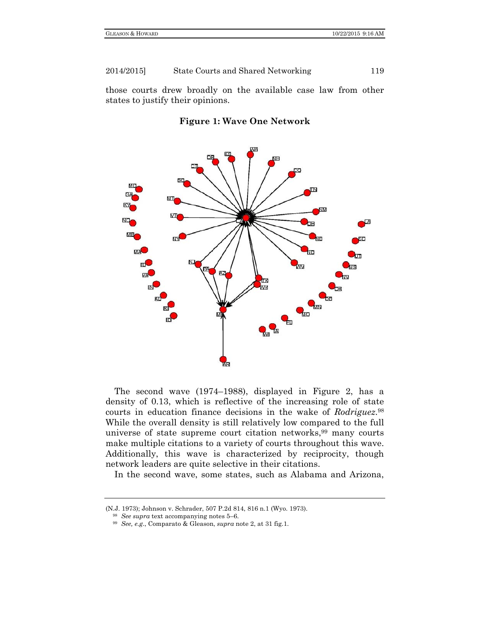those courts drew broadly on the available case law from other states to justify their opinions.





The second wave (1974–1988), displayed in Figure 2, has a density of 0.13, which is reflective of the increasing role of state courts in education finance decisions in the wake of *Rodriguez*.98 While the overall density is still relatively low compared to the full universe of state supreme court citation networks, <sup>99</sup> many courts make multiple citations to a variety of courts throughout this wave. Additionally, this wave is characterized by reciprocity, though network leaders are quite selective in their citations.

In the second wave, some states, such as Alabama and Arizona,

<sup>(</sup>N.J. 1973); Johnson v. Schrader, 507 P.2d 814, 816 n.1 (Wyo. 1973). 98 *See supra* text accompanying notes 5–6. 99 *See, e.g*., Comparato & Gleason, *supra* note 2, at 31 fig.1.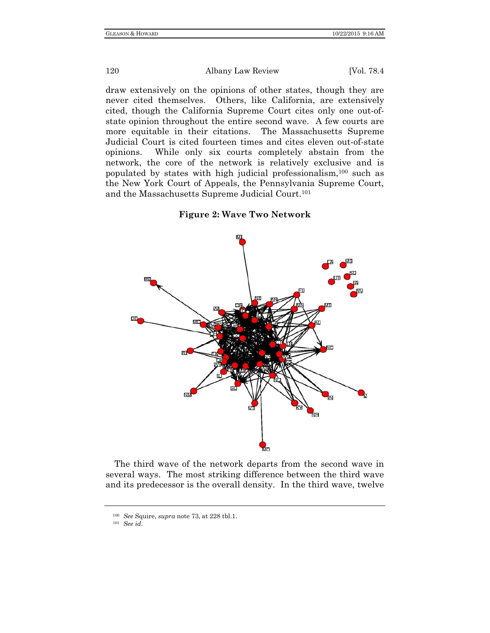draw extensively on the opinions of other states, though they are never cited themselves. Others, like California, are extensively cited, though the California Supreme Court cites only one out-ofstate opinion throughout the entire second wave. A few courts are more equitable in their citations. The Massachusetts Supreme Judicial Court is cited fourteen times and cites eleven out-of-state opinions. While only six courts completely abstain from the network, the core of the network is relatively exclusive and is populated by states with high judicial professionalism,100 such as the New York Court of Appeals, the Pennsylvania Supreme Court, and the Massachusetts Supreme Judicial Court.101



**Figure 2: Wave Two Network** 

The third wave of the network departs from the second wave in several ways. The most striking difference between the third wave and its predecessor is the overall density. In the third wave, twelve

<sup>100</sup> *See* Squire, *supra* note 73, at 228 tbl.1. 101 *See id.*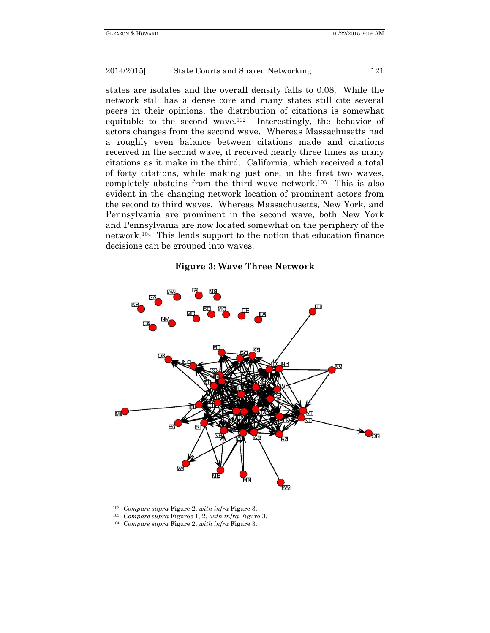states are isolates and the overall density falls to 0.08. While the network still has a dense core and many states still cite several peers in their opinions, the distribution of citations is somewhat equitable to the second wave.102 Interestingly, the behavior of actors changes from the second wave. Whereas Massachusetts had a roughly even balance between citations made and citations received in the second wave, it received nearly three times as many citations as it make in the third. California, which received a total of forty citations, while making just one, in the first two waves, completely abstains from the third wave network.103 This is also evident in the changing network location of prominent actors from the second to third waves. Whereas Massachusetts, New York, and Pennsylvania are prominent in the second wave, both New York and Pennsylvania are now located somewhat on the periphery of the network.104 This lends support to the notion that education finance decisions can be grouped into waves.

#### **Figure 3: Wave Three Network**



- 
- <sup>102</sup> *Compare supra* Figure 2, *with infra* Figure 3. 103 *Compare supra* Figures 1, 2, *with infra* Figure 3. 104 *Compare supra* Figure 2, *with infra* Figure 3.
-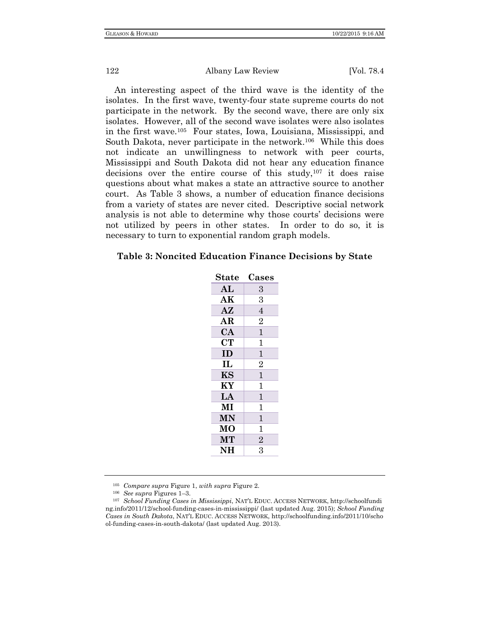An interesting aspect of the third wave is the identity of the isolates. In the first wave, twenty-four state supreme courts do not participate in the network. By the second wave, there are only six isolates. However, all of the second wave isolates were also isolates in the first wave.105 Four states, Iowa, Louisiana, Mississippi, and South Dakota, never participate in the network.<sup>106</sup> While this does not indicate an unwillingness to network with peer courts, Mississippi and South Dakota did not hear any education finance decisions over the entire course of this study,107 it does raise questions about what makes a state an attractive source to another court. As Table 3 shows, a number of education finance decisions from a variety of states are never cited. Descriptive social network analysis is not able to determine why those courts' decisions were not utilized by peers in other states. In order to do so, it is necessary to turn to exponential random graph models.

#### **Table 3: Noncited Education Finance Decisions by State**

| <b>State</b>  | Cases          |
|---------------|----------------|
| AL            | 3              |
| AK            | 3              |
| $A\mathbf{Z}$ | $\overline{4}$ |
| AR            | $\overline{2}$ |
| CA            | $\mathbf{1}$   |
| <b>CT</b>     | $\mathbf{1}$   |
| ID            | $\mathbf{1}$   |
| $\mathbf{I}$  | $\overline{2}$ |
| KS            | $\mathbf{1}$   |
| KY            | $\mathbf{1}$   |
| LA            | $\mathbf{1}$   |
| MI            | $\mathbf{1}$   |
| <b>MN</b>     | $\mathbf{1}$   |
| <b>MO</b>     | $\mathbf{1}$   |
| <b>MT</b>     | $\overline{2}$ |
| <b>NH</b>     | 3              |
|               |                |

<sup>105</sup> *Compare supra* Figure 1, *with supra* Figure 2. 106 *See supra* Figures 1–3. 107 *School Funding Cases in Mississippi*, NAT'L EDUC. ACCESS NETWORK, http://schoolfundi ng.info/2011/12/school-funding-cases-in-mississippi/ (last updated Aug. 2015); *School Funding Cases in South Dakota*, NAT'L EDUC. ACCESS NETWORK, http://schoolfunding.info/2011/10/scho ol-funding-cases-in-south-dakota/ (last updated Aug. 2013).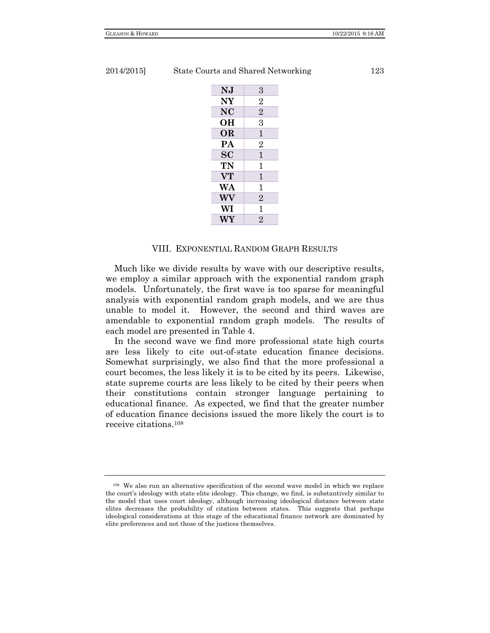| 2014/20151 |  |  |  |
|------------|--|--|--|
|------------|--|--|--|

State Courts and Shared Networking 123

| NJ                                | 3              |
|-----------------------------------|----------------|
| NY                                | 2              |
| NC                                | $\overline{2}$ |
| OН                                | 3              |
| <b>OR</b>                         | 1              |
| PA                                | $\overline{2}$ |
| $\overline{\mathbf{S}}\mathbf{C}$ | 1              |
| TN                                | 1              |
| <b>VT</b>                         | 1              |
| WA                                | 1              |
| WV                                | $\overline{2}$ |
| WI                                | 1              |
| WY                                | $\overline{2}$ |

#### VIII. EXPONENTIAL RANDOM GRAPH RESULTS

Much like we divide results by wave with our descriptive results, we employ a similar approach with the exponential random graph models. Unfortunately, the first wave is too sparse for meaningful analysis with exponential random graph models, and we are thus unable to model it. However, the second and third waves are amendable to exponential random graph models. The results of each model are presented in Table 4.

In the second wave we find more professional state high courts are less likely to cite out-of-state education finance decisions. Somewhat surprisingly, we also find that the more professional a court becomes, the less likely it is to be cited by its peers. Likewise, state supreme courts are less likely to be cited by their peers when their constitutions contain stronger language pertaining to educational finance. As expected, we find that the greater number of education finance decisions issued the more likely the court is to receive citations.108

<sup>108</sup> We also run an alternative specification of the second wave model in which we replace the court's ideology with state elite ideology. This change, we find, is substantively similar to the model that uses court ideology, although increasing ideological distance between state elites decreases the probability of citation between states. This suggests that perhaps ideological considerations at this stage of the educational finance network are dominated by elite preferences and not those of the justices themselves.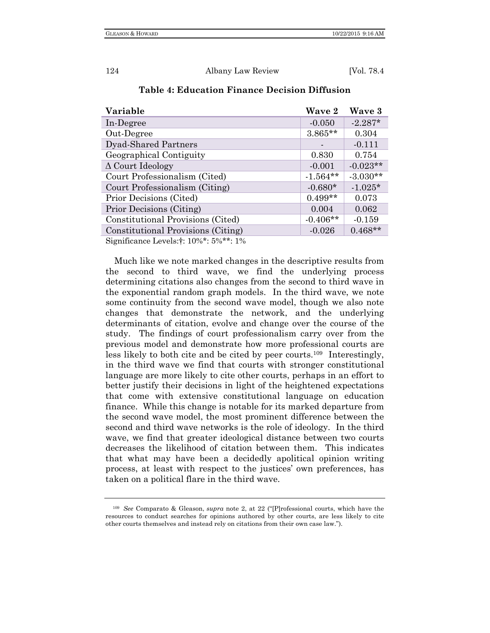| Variable                                     | Wave 2     | Wave 3     |
|----------------------------------------------|------------|------------|
| In-Degree                                    | $-0.050$   | $-2.287*$  |
| Out-Degree                                   | $3.865**$  | 0.304      |
| <b>Dyad-Shared Partners</b>                  |            | $-0.111$   |
| Geographical Contiguity                      | 0.830      | 0.754      |
| $\Delta$ Court Ideology                      | $-0.001$   | $-0.023**$ |
| Court Professionalism (Cited)                | $-1.564**$ | $-3.030**$ |
| Court Professionalism (Citing)               | $-0.680*$  | $-1.025*$  |
| Prior Decisions (Cited)                      | $0.499**$  | 0.073      |
| Prior Decisions (Citing)                     | 0.004      | 0.062      |
| Constitutional Provisions (Cited)            | $-0.406**$ | $-0.159$   |
| Constitutional Provisions (Citing)           | $-0.026$   | $0.468**$  |
| Significance Lavels $\pm 10\% * 5\% * * 1\%$ |            |            |

# **Table 4: Education Finance Decision Diffusion**

eance Levels: †: 10%\*: 5%

Much like we note marked changes in the descriptive results from the second to third wave, we find the underlying process determining citations also changes from the second to third wave in the exponential random graph models. In the third wave, we note some continuity from the second wave model, though we also note changes that demonstrate the network, and the underlying determinants of citation, evolve and change over the course of the study. The findings of court professionalism carry over from the previous model and demonstrate how more professional courts are less likely to both cite and be cited by peer courts.109 Interestingly, in the third wave we find that courts with stronger constitutional language are more likely to cite other courts, perhaps in an effort to better justify their decisions in light of the heightened expectations that come with extensive constitutional language on education finance. While this change is notable for its marked departure from the second wave model, the most prominent difference between the second and third wave networks is the role of ideology. In the third wave, we find that greater ideological distance between two courts decreases the likelihood of citation between them. This indicates that what may have been a decidedly apolitical opinion writing process, at least with respect to the justices' own preferences, has taken on a political flare in the third wave.

<sup>109</sup> *See* Comparato & Gleason, *supra* note 2, at 22 ("[P]rofessional courts, which have the resources to conduct searches for opinions authored by other courts, are less likely to cite other courts themselves and instead rely on citations from their own case law.").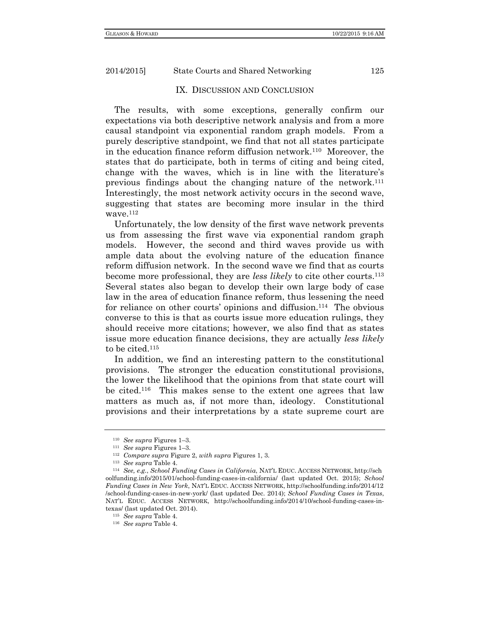IX. DISCUSSION AND CONCLUSION

The results, with some exceptions, generally confirm our expectations via both descriptive network analysis and from a more causal standpoint via exponential random graph models. From a purely descriptive standpoint, we find that not all states participate in the education finance reform diffusion network.110 Moreover, the states that do participate, both in terms of citing and being cited, change with the waves, which is in line with the literature's previous findings about the changing nature of the network.111 Interestingly, the most network activity occurs in the second wave, suggesting that states are becoming more insular in the third wave.112

Unfortunately, the low density of the first wave network prevents us from assessing the first wave via exponential random graph models. However, the second and third waves provide us with ample data about the evolving nature of the education finance reform diffusion network. In the second wave we find that as courts become more professional, they are *less likely* to cite other courts.113 Several states also began to develop their own large body of case law in the area of education finance reform, thus lessening the need for reliance on other courts' opinions and diffusion.<sup>114</sup> The obvious converse to this is that as courts issue more education rulings, they should receive more citations; however, we also find that as states issue more education finance decisions, they are actually *less likely*  to be cited.115

In addition, we find an interesting pattern to the constitutional provisions. The stronger the education constitutional provisions, the lower the likelihood that the opinions from that state court will be cited.116 This makes sense to the extent one agrees that law matters as much as, if not more than, ideology. Constitutional provisions and their interpretations by a state supreme court are

<sup>&</sup>lt;sup>110</sup> See supra Figures 1–3.<br><sup>111</sup> See supra Figures 1–3.<br><sup>112</sup> Compare supra Figure 2, with supra Figures 1, 3.<br><sup>113</sup> See supra Table 4.<br><sup>114</sup> See, e.g., School Funding Cases in California, NAT'L EDUC. ACCESS NETWORK, htt oolfunding.info/2015/01/school-funding-cases-in-california/ (last updated Oct. 2015); *School Funding Cases in New York*, NAT'L EDUC. ACCESS NETWORK, http://schoolfunding.info/2014/12 /school-funding-cases-in-new-york/ (last updated Dec. 2014); *School Funding Cases in Texas*, NAT'L EDUC. ACCESS NETWORK, http://schoolfunding.info/2014/10/school-funding-cases-intexas/ (last updated Oct. 2014). 115 *See supra* Table 4. 116 *See supra* Table 4.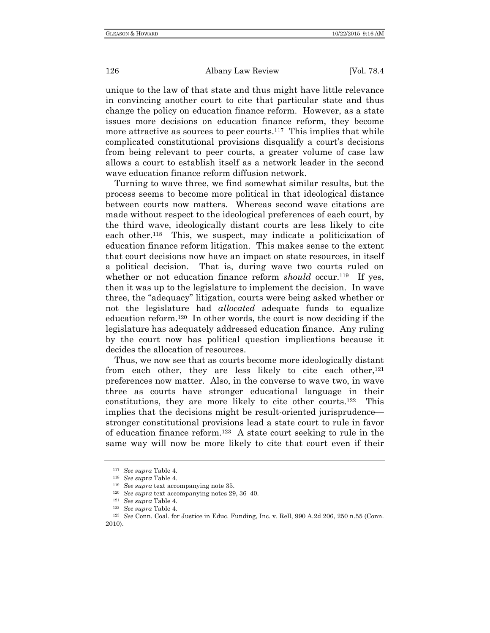unique to the law of that state and thus might have little relevance in convincing another court to cite that particular state and thus change the policy on education finance reform. However, as a state issues more decisions on education finance reform, they become more attractive as sources to peer courts.<sup>117</sup> This implies that while complicated constitutional provisions disqualify a court's decisions from being relevant to peer courts, a greater volume of case law allows a court to establish itself as a network leader in the second wave education finance reform diffusion network.

Turning to wave three, we find somewhat similar results, but the process seems to become more political in that ideological distance between courts now matters. Whereas second wave citations are made without respect to the ideological preferences of each court, by the third wave, ideologically distant courts are less likely to cite each other.118 This, we suspect, may indicate a politicization of education finance reform litigation. This makes sense to the extent that court decisions now have an impact on state resources, in itself a political decision. That is, during wave two courts ruled on whether or not education finance reform *should* occur.<sup>119</sup> If yes, then it was up to the legislature to implement the decision. In wave three, the "adequacy" litigation, courts were being asked whether or not the legislature had *allocated* adequate funds to equalize education reform.120 In other words, the court is now deciding if the legislature has adequately addressed education finance. Any ruling by the court now has political question implications because it decides the allocation of resources.

Thus, we now see that as courts become more ideologically distant from each other, they are less likely to cite each other,  $121$ preferences now matter. Also, in the converse to wave two, in wave three as courts have stronger educational language in their constitutions, they are more likely to cite other courts.122 This implies that the decisions might be result-oriented jurisprudence stronger constitutional provisions lead a state court to rule in favor of education finance reform.<sup>123</sup> A state court seeking to rule in the same way will now be more likely to cite that court even if their

<sup>&</sup>lt;sup>117</sup> See supra Table 4.<br>
<sup>118</sup> See supra Table 4.<br>
<sup>119</sup> See supra text accompanying note 35.<br>
<sup>120</sup> See supra text accompanying notes 29, 36–40.<br>
<sup>121</sup> See supra Table 4.<br>
<sup>122</sup> See supra Table 4.<br>
<sup>122</sup> See Conn. Coal. 2010).